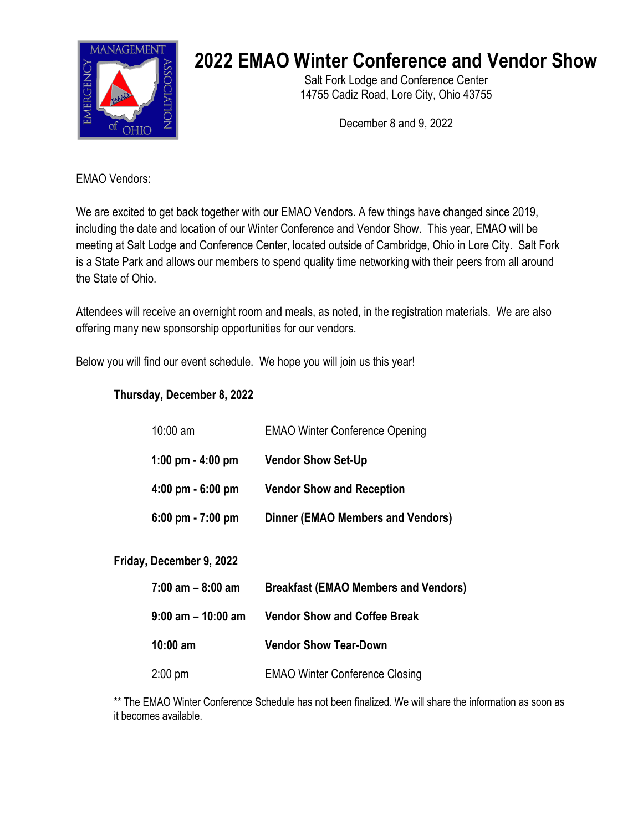

# **2022 EMAO Winter Conference and Vendor Show**

Salt Fork Lodge and Conference Center 14755 Cadiz Road, Lore City, Ohio 43755

December 8 and 9, 2022

EMAO Vendors:

We are excited to get back together with our EMAO Vendors. A few things have changed since 2019, including the date and location of our Winter Conference and Vendor Show. This year, EMAO will be meeting at Salt Lodge and Conference Center, located outside of Cambridge, Ohio in Lore City. Salt Fork is a State Park and allows our members to spend quality time networking with their peers from all around the State of Ohio.

Attendees will receive an overnight room and meals, as noted, in the registration materials. We are also offering many new sponsorship opportunities for our vendors.

Below you will find our event schedule. We hope you will join us this year!

## **Thursday, December 8, 2022**

| $10:00$ am                          | <b>EMAO Winter Conference Opening</b>    |
|-------------------------------------|------------------------------------------|
| 1:00 pm $-$ 4:00 pm                 | <b>Vendor Show Set-Up</b>                |
| $4:00 \text{ pm} - 6:00 \text{ pm}$ | <b>Vendor Show and Reception</b>         |
| $6:00 \text{ pm} - 7:00 \text{ pm}$ | <b>Dinner (EMAO Members and Vendors)</b> |

#### **Friday, December 9, 2022**

| $7:00$ am $-8:00$ am  | <b>Breakfast (EMAO Members and Vendors)</b> |
|-----------------------|---------------------------------------------|
| $9:00$ am $-10:00$ am | <b>Vendor Show and Coffee Break</b>         |
| $10:00 \text{ am}$    | <b>Vendor Show Tear-Down</b>                |
| $2:00 \text{ pm}$     | <b>EMAO Winter Conference Closing</b>       |

\*\* The EMAO Winter Conference Schedule has not been finalized. We will share the information as soon as it becomes available.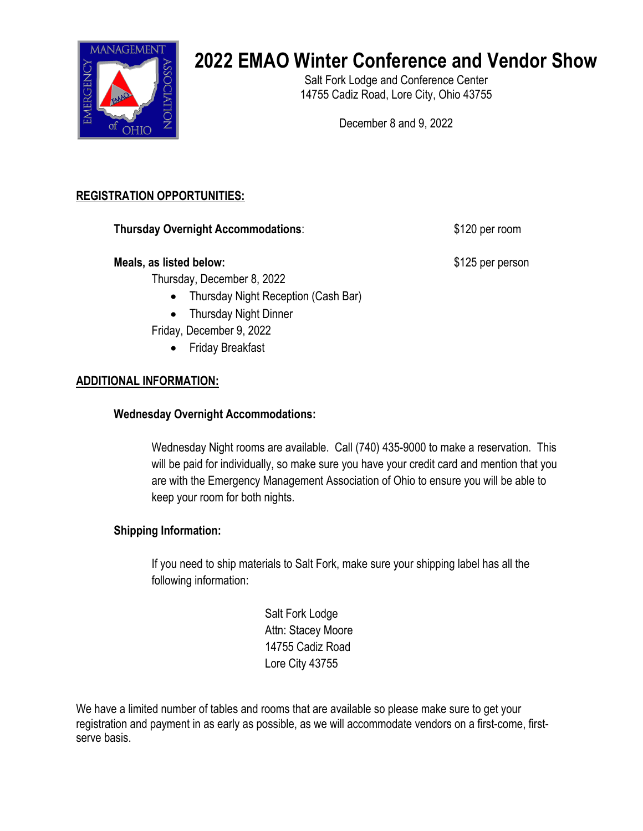

# **2022 EMAO Winter Conference and Vendor Show**

Salt Fork Lodge and Conference Center 14755 Cadiz Road, Lore City, Ohio 43755

December 8 and 9, 2022

# **REGISTRATION OPPORTUNITIES:**

**Thursday Overnight Accommodations:** \$120 per room

#### **Meals, as listed below:**  $$125$  per person

Thursday, December 8, 2022

- Thursday Night Reception (Cash Bar)
- Thursday Night Dinner

Friday, December 9, 2022

• Friday Breakfast

## **ADDITIONAL INFORMATION:**

## **Wednesday Overnight Accommodations:**

Wednesday Night rooms are available. Call (740) 435-9000 to make a reservation. This will be paid for individually, so make sure you have your credit card and mention that you are with the Emergency Management Association of Ohio to ensure you will be able to keep your room for both nights.

## **Shipping Information:**

If you need to ship materials to Salt Fork, make sure your shipping label has all the following information:

> Salt Fork Lodge Attn: Stacey Moore 14755 Cadiz Road Lore City 43755

We have a limited number of tables and rooms that are available so please make sure to get your registration and payment in as early as possible, as we will accommodate vendors on a first-come, firstserve basis.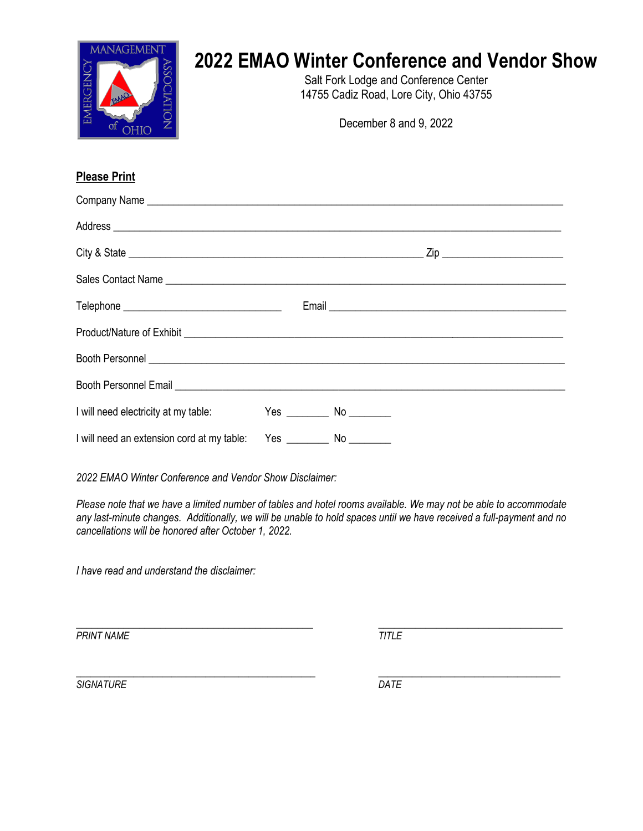| <b>2022 EMAO Winter Conference and Vendor Show</b><br>Salt Fork Lodge and Conference Center<br>14755 Cadiz Road, Lore City, Ohio 43755<br>December 8 and 9, 2022 |
|------------------------------------------------------------------------------------------------------------------------------------------------------------------|
|                                                                                                                                                                  |

# **Please Print**

| Sales Contact Name                                                               |  |  |  |
|----------------------------------------------------------------------------------|--|--|--|
|                                                                                  |  |  |  |
|                                                                                  |  |  |  |
|                                                                                  |  |  |  |
|                                                                                  |  |  |  |
|                                                                                  |  |  |  |
| I will need an extension cord at my table: Yes _________________________________ |  |  |  |

*2022 EMAO Winter Conference and Vendor Show Disclaimer:*

*Please note that we have a limited number of tables and hotel rooms available. We may not be able to accommodate any last-minute changes. Additionally, we will be unable to hold spaces until we have received a full-payment and no cancellations will be honored after October 1, 2022.*

*I have read and understand the disclaimer:*

*\_\_\_\_\_\_\_\_\_\_\_\_\_\_\_\_\_\_\_\_\_\_\_\_\_\_\_\_\_\_\_\_\_\_\_\_\_\_\_\_\_\_\_\_\_ \_\_\_\_\_\_\_\_\_\_\_\_\_\_\_\_\_\_\_\_\_\_\_\_\_\_\_\_\_\_\_\_\_\_\_* **PRINT NAME TITLE** 

*\_\_\_\_\_\_\_\_\_\_\_\_\_\_\_\_\_\_\_\_\_\_\_\_\_\_\_\_\_\_\_\_\_\_\_\_\_\_\_\_\_\_\_\_\_\_\_\_\_\_ \_\_\_\_\_\_\_\_\_\_\_\_\_\_\_\_\_\_\_\_\_\_\_\_\_\_\_\_\_\_\_\_\_\_\_\_\_\_ SIGNATURE DATE*